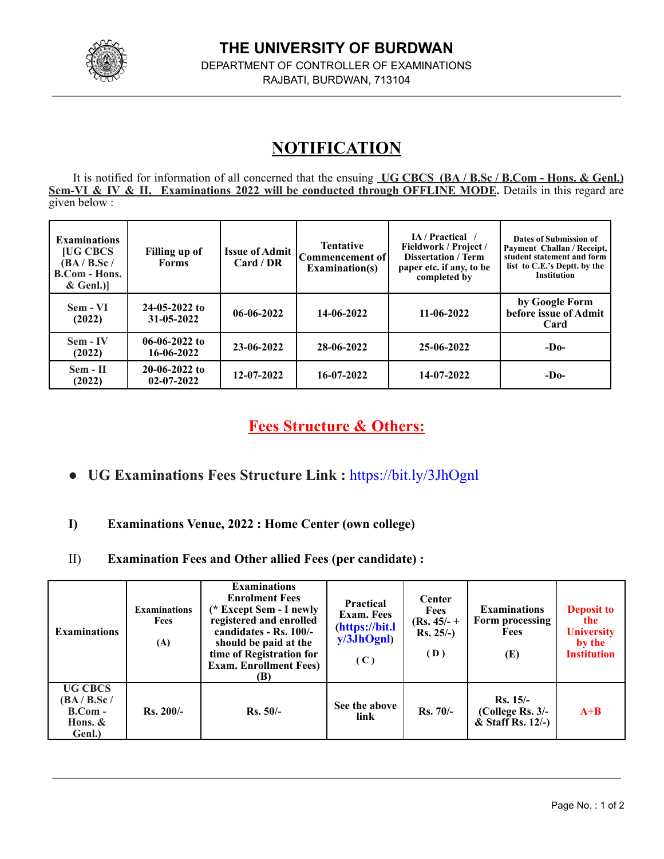

## **NOTIFICATION**

It is notified for information of all concerned that the ensuing **UG CBCS (BA / B.Sc / B.Com - Hons. & Genl.) Sem-VI & IV & II, Examinations 2022 will be conducted through OFFLINE MODE.** Details in this regard are given below :

| <b>Examinations</b><br><b>[UG CBCS</b><br>(BA/B.Sc/<br><b>B.Com - Hons.</b><br>$&$ Genl.)] | Filling up of<br><b>Forms</b>       | <b>Issue of Admit</b><br>Card / DR | <b>Tentative</b><br>Commencement of<br><b>Examination(s)</b> | IA / Practical /<br><b>Fieldwork / Project /</b><br><b>Dissertation / Term</b><br>paper etc. if any, to be<br>completed by | Dates of Submission of<br>Payment Challan / Receipt,<br>student statement and form<br>list to C.E.'s Deptt. by the<br><b>Institution</b> |  |
|--------------------------------------------------------------------------------------------|-------------------------------------|------------------------------------|--------------------------------------------------------------|----------------------------------------------------------------------------------------------------------------------------|------------------------------------------------------------------------------------------------------------------------------------------|--|
| Sem - VI<br>(2022)                                                                         | $24-05-2022$ to<br>31-05-2022       | $06 - 06 - 2022$                   | 14-06-2022                                                   | 11-06-2022                                                                                                                 | by Google Form<br>before issue of Admit<br>Card                                                                                          |  |
| Sem - IV<br>(2022)                                                                         | $06-06-2022$ to<br>16-06-2022       | 23-06-2022                         | 28-06-2022                                                   | 25-06-2022                                                                                                                 | $-D0$                                                                                                                                    |  |
| Sem - II<br>(2022)                                                                         | $20-06-2022$ to<br>$02 - 07 - 2022$ | $12 - 07 - 2022$                   | 16-07-2022                                                   | 14-07-2022                                                                                                                 | $-D0$                                                                                                                                    |  |

## **Fees Structure & Others:**

- **● UG Examinations Fees Structure Link :** <https://bit.ly/3JhOgnl>
- **I) Examinations Venue, 2022 : Home Center (own college)**
- II) **Examination Fees and Other allied Fees (per candidate) :**

| <b>Examinations</b>                                                 | <b>Examinations</b><br>Fees<br>(A) | <b>Examinations</b><br><b>Enrolment Fees</b><br>(* Except Sem - I newly<br>registered and enrolled<br>candidates - Rs. 100/-<br>should be paid at the<br>time of Registration for<br><b>Exam. Enrollment Fees)</b><br>(B) | <b>Practical</b><br><b>Exam.</b> Fees<br>(https://bit.l<br>y/3JhOgnl<br>(C) | Center<br><b>Fees</b><br>$(Rs. 45/- +$<br>$Rs. 25/-$ )<br>(D) | <b>Examinations</b><br>Form processing<br><b>Fees</b><br>(E) | <b>Deposit to</b><br>the<br><b>University</b><br>by the<br><b>Institution</b> |
|---------------------------------------------------------------------|------------------------------------|---------------------------------------------------------------------------------------------------------------------------------------------------------------------------------------------------------------------------|-----------------------------------------------------------------------------|---------------------------------------------------------------|--------------------------------------------------------------|-------------------------------------------------------------------------------|
| <b>UG CBCS</b><br>(BA/B.Sc/<br>$B_{\rm}.Com -$<br>Hons. &<br>Genl.) | $Rs. 200/-$                        | $Rs. 50/-$                                                                                                                                                                                                                | See the above<br>link                                                       | $Rs. 70/-$                                                    | $Rs. 15/-$<br>(College Rs. 3/-<br>$&$ Staff Rs. 12/-)        | $A+B$                                                                         |